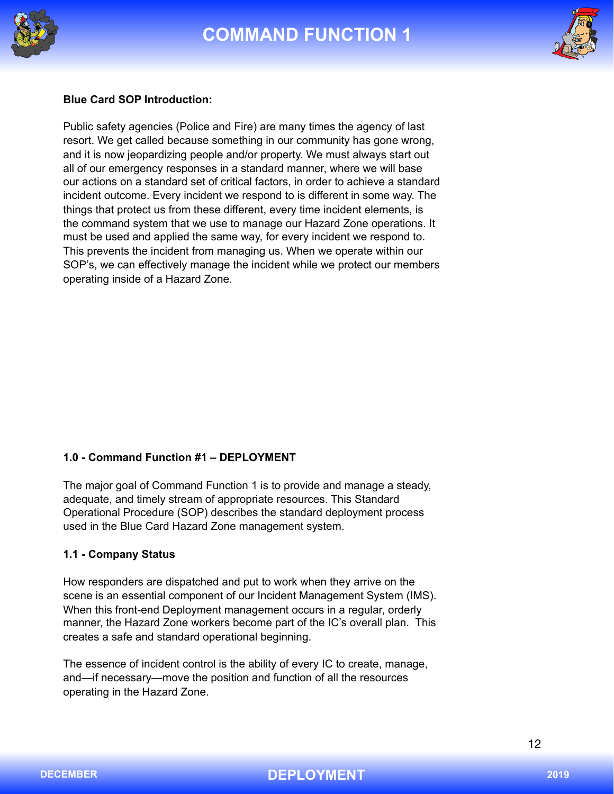





### **Blue Card SOP Introduction:**

Public safety agencies (Police and Fire) are many times the agency of last resort. We get called because something in our community has gone wrong, and it is now jeopardizing people and/or property. We must always start out all of our emergency responses in a standard manner, where we will base our actions on a standard set of critical factors, in order to achieve a standard incident outcome. Every incident we respond to is different in some way. The things that protect us from these different, every time incident elements, is the command system that we use to manage our Hazard Zone operations. It must be used and applied the same way, for every incident we respond to. This prevents the incident from managing us. When we operate within our SOP's, we can effectively manage the incident while we protect our members operating inside of a Hazard Zone.

#### **1.0 - Command Function #1 – DEPLOYMENT**

The major goal of Command Function 1 is to provide and manage a steady, adequate, and timely stream of appropriate resources. This Standard Operational Procedure (SOP) describes the standard deployment process used in the Blue Card Hazard Zone management system.

#### **1.1 - Company Status**

How responders are dispatched and put to work when they arrive on the scene is an essential component of our Incident Management System (IMS). When this front-end Deployment management occurs in a regular, orderly manner, the Hazard Zone workers become part of the IC's overall plan. This creates a safe and standard operational beginning.

The essence of incident control is the ability of every IC to create, manage, and—if necessary—move the position and function of all the resources operating in the Hazard Zone.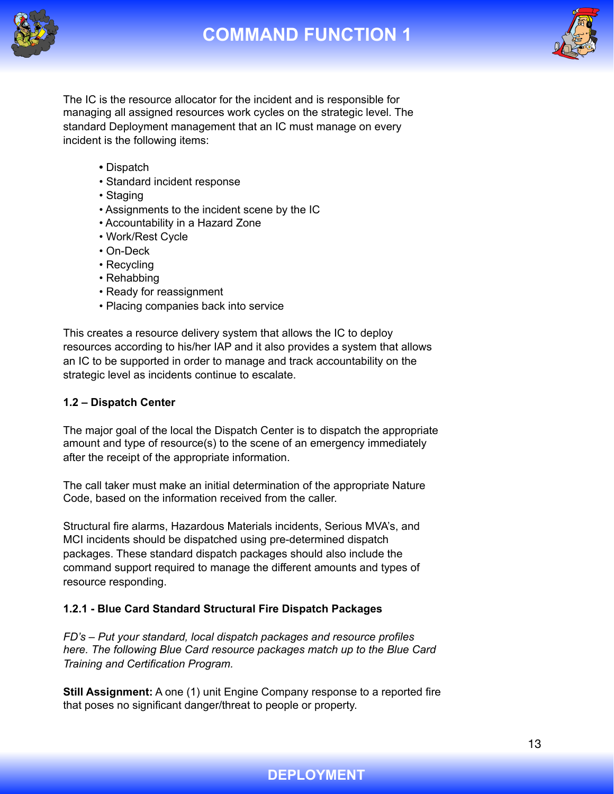



The IC is the resource allocator for the incident and is responsible for managing all assigned resources work cycles on the strategic level. The standard Deployment management that an IC must manage on every incident is the following items:

- Dispatch
- Standard incident response
- Staging
- Assignments to the incident scene by the IC
- Accountability in a Hazard Zone
- Work/Rest Cycle
- On-Deck
- Recycling
- Rehabbing
- Ready for reassignment
- Placing companies back into service

This creates a resource delivery system that allows the IC to deploy resources according to his/her IAP and it also provides a system that allows an IC to be supported in order to manage and track accountability on the strategic level as incidents continue to escalate.

### **1.2 – Dispatch Center**

The major goal of the local the Dispatch Center is to dispatch the appropriate amount and type of resource(s) to the scene of an emergency immediately after the receipt of the appropriate information.

The call taker must make an initial determination of the appropriate Nature Code, based on the information received from the caller.

Structural fire alarms, Hazardous Materials incidents, Serious MVA's, and MCI incidents should be dispatched using pre-determined dispatch packages. These standard dispatch packages should also include the command support required to manage the different amounts and types of resource responding.

## **1.2.1 - Blue Card Standard Structural Fire Dispatch Packages**

*FD's – Put your standard, local dispatch packages and resource profiles here. The following Blue Card resource packages match up to the Blue Card Training and Certification Program.* 

**Still Assignment:** A one (1) unit Engine Company response to a reported fire that poses no significant danger/threat to people or property.

## **DEPLOYMENT**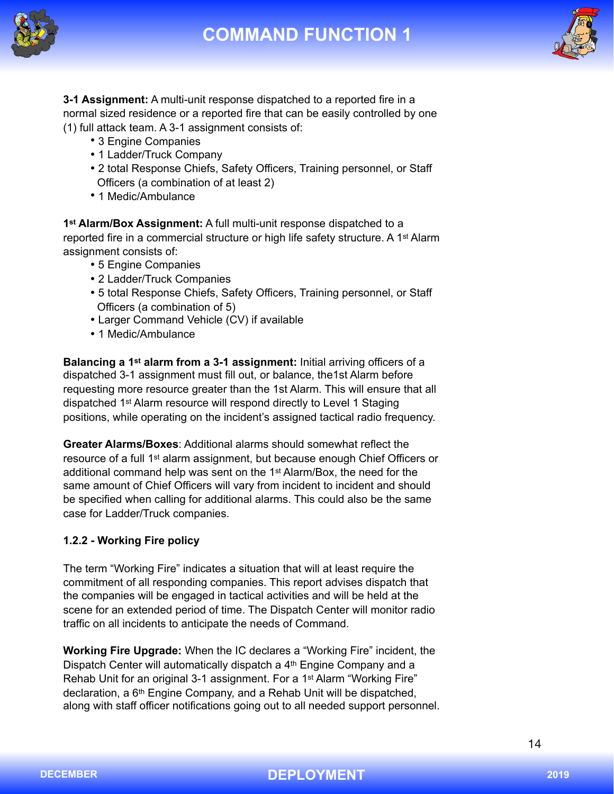



**3-1 Assignment:** A multi-unit response dispatched to a reported fire in a normal sized residence or a reported fire that can be easily controlled by one (1) full attack team. A 3-1 assignment consists of:

- 3 Engine Companies
- 1 Ladder/Truck Company
- 2 total Response Chiefs, Safety Officers, Training personnel, or Staff Officers (a combination of at least 2)
- 1 Medic/Ambulance

**1st Alarm/Box Assignment:** A full multi-unit response dispatched to a reported fire in a commercial structure or high life safety structure. A 1<sup>st</sup> Alarm assignment consists of:

- 5 Engine Companies
- 2 Ladder/Truck Companies
- 5 total Response Chiefs, Safety Officers, Training personnel, or Staff Officers (a combination of 5)
- Larger Command Vehicle (CV) if available
- 1 Medic/Ambulance

**Balancing a 1st alarm from a 3-1 assignment:** Initial arriving officers of a dispatched 3-1 assignment must fill out, or balance, the1st Alarm before requesting more resource greater than the 1st Alarm. This will ensure that all dispatched 1st Alarm resource will respond directly to Level 1 Staging positions, while operating on the incident's assigned tactical radio frequency.

**Greater Alarms/Boxes**: Additional alarms should somewhat reflect the resource of a full 1st alarm assignment, but because enough Chief Officers or additional command help was sent on the 1st Alarm/Box, the need for the same amount of Chief Officers will vary from incident to incident and should be specified when calling for additional alarms. This could also be the same case for Ladder/Truck companies.

## **1.2.2 - Working Fire policy**

The term "Working Fire" indicates a situation that will at least require the commitment of all responding companies. This report advises dispatch that the companies will be engaged in tactical activities and will be held at the scene for an extended period of time. The Dispatch Center will monitor radio traffic on all incidents to anticipate the needs of Command.

**Working Fire Upgrade:** When the IC declares a "Working Fire" incident, the Dispatch Center will automatically dispatch a 4<sup>th</sup> Engine Company and a Rehab Unit for an original 3-1 assignment. For a 1<sup>st</sup> Alarm "Working Fire" declaration, a 6th Engine Company, and a Rehab Unit will be dispatched, along with staff officer notifications going out to all needed support personnel.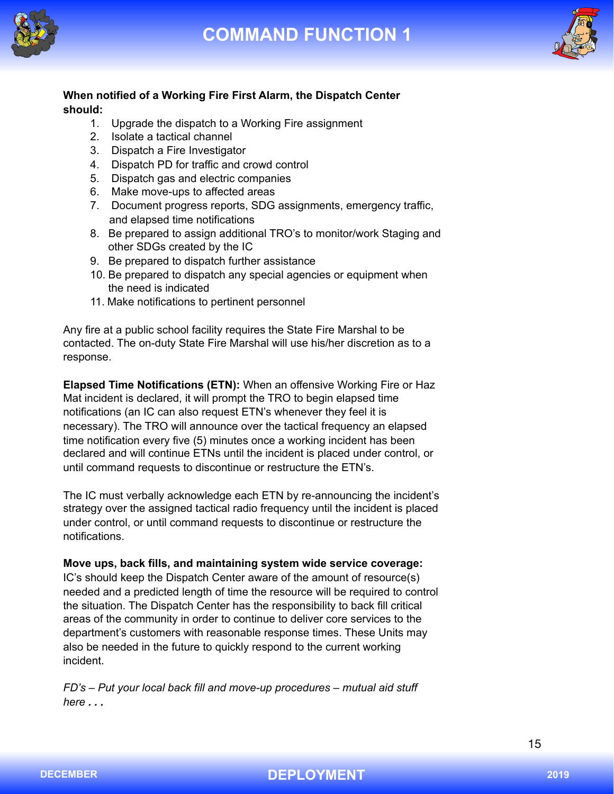



## **When notified of a Working Fire First Alarm, the Dispatch Center should:**

- 1. Upgrade the dispatch to a Working Fire assignment
- 2. Isolate a tactical channel
- 3. Dispatch a Fire Investigator
- 4. Dispatch PD for traffic and crowd control
- 5. Dispatch gas and electric companies
- 6. Make move-ups to affected areas
- 7. Document progress reports, SDG assignments, emergency traffic, and elapsed time notifications
- 8. Be prepared to assign additional TRO's to monitor/work Staging and other SDGs created by the IC
- 9. Be prepared to dispatch further assistance
- 10. Be prepared to dispatch any special agencies or equipment when the need is indicated
- 11. Make notifications to pertinent personnel

Any fire at a public school facility requires the State Fire Marshal to be contacted. The on-duty State Fire Marshal will use his/her discretion as to a response.

**Elapsed Time Notifications (ETN):** When an offensive Working Fire or Haz Mat incident is declared, it will prompt the TRO to begin elapsed time notifications (an IC can also request ETN's whenever they feel it is necessary). The TRO will announce over the tactical frequency an elapsed time notification every five (5) minutes once a working incident has been declared and will continue ETNs until the incident is placed under control, or until command requests to discontinue or restructure the ETN's.

The IC must verbally acknowledge each ETN by re-announcing the incident's strategy over the assigned tactical radio frequency until the incident is placed under control, or until command requests to discontinue or restructure the notifications.

**Move ups, back fills, and maintaining system wide service coverage:**  IC's should keep the Dispatch Center aware of the amount of resource(s) needed and a predicted length of time the resource will be required to control the situation. The Dispatch Center has the responsibility to back fill critical areas of the community in order to continue to deliver core services to the department's customers with reasonable response times. These Units may also be needed in the future to quickly respond to the current working incident.

*FD's – Put your local back fill and move-up procedures – mutual aid stuff here . . .*

15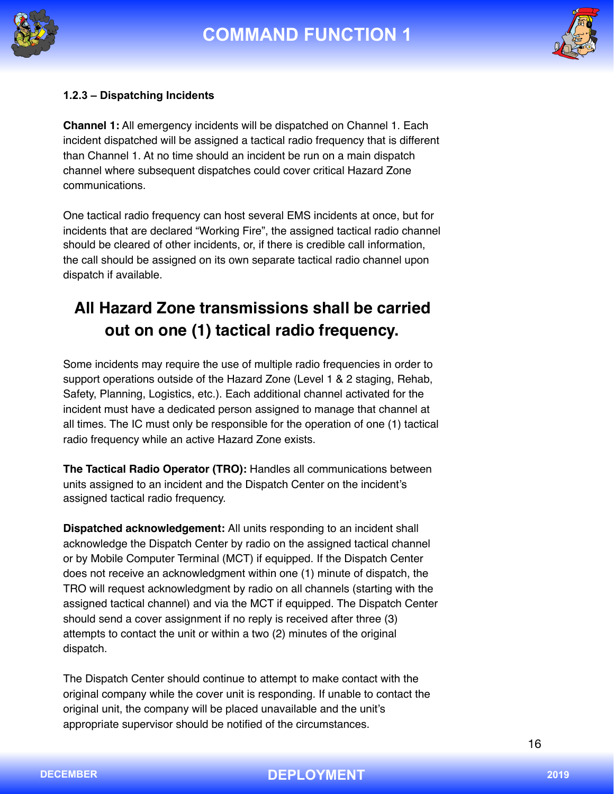



### **1.2.3 – Dispatching Incidents**

**Channel 1:** All emergency incidents will be dispatched on Channel 1. Each incident dispatched will be assigned a tactical radio frequency that is different than Channel 1. At no time should an incident be run on a main dispatch channel where subsequent dispatches could cover critical Hazard Zone communications.

One tactical radio frequency can host several EMS incidents at once, but for incidents that are declared "Working Fire", the assigned tactical radio channel should be cleared of other incidents, or, if there is credible call information, the call should be assigned on its own separate tactical radio channel upon dispatch if available.

# **All Hazard Zone transmissions shall be carried out on one (1) tactical radio frequency.**

Some incidents may require the use of multiple radio frequencies in order to support operations outside of the Hazard Zone (Level 1 & 2 staging, Rehab, Safety, Planning, Logistics, etc.). Each additional channel activated for the incident must have a dedicated person assigned to manage that channel at all times. The IC must only be responsible for the operation of one (1) tactical radio frequency while an active Hazard Zone exists.

**The Tactical Radio Operator (TRO):** Handles all communications between units assigned to an incident and the Dispatch Center on the incident's assigned tactical radio frequency.

**Dispatched acknowledgement:** All units responding to an incident shall acknowledge the Dispatch Center by radio on the assigned tactical channel or by Mobile Computer Terminal (MCT) if equipped. If the Dispatch Center does not receive an acknowledgment within one (1) minute of dispatch, the TRO will request acknowledgment by radio on all channels (starting with the assigned tactical channel) and via the MCT if equipped. The Dispatch Center should send a cover assignment if no reply is received after three (3) attempts to contact the unit or within a two (2) minutes of the original dispatch.

The Dispatch Center should continue to attempt to make contact with the original company while the cover unit is responding. If unable to contact the original unit, the company will be placed unavailable and the unit's appropriate supervisor should be notified of the circumstances.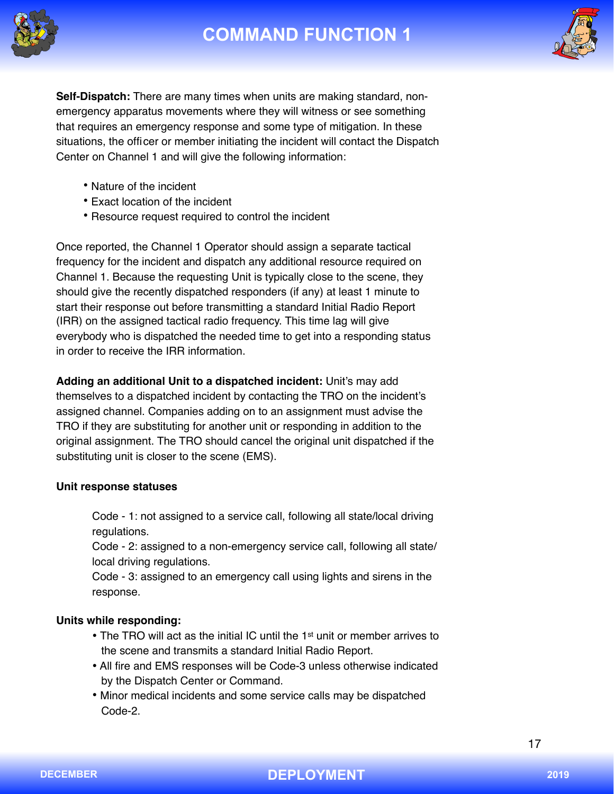



**Self-Dispatch:** There are many times when units are making standard, nonemergency apparatus movements where they will witness or see something that requires an emergency response and some type of mitigation. In these situations, the officer or member initiating the incident will contact the Dispatch Center on Channel 1 and will give the following information:

- Nature of the incident
- Exact location of the incident
- Resource request required to control the incident

Once reported, the Channel 1 Operator should assign a separate tactical frequency for the incident and dispatch any additional resource required on Channel 1. Because the requesting Unit is typically close to the scene, they should give the recently dispatched responders (if any) at least 1 minute to start their response out before transmitting a standard Initial Radio Report (IRR) on the assigned tactical radio frequency. This time lag will give everybody who is dispatched the needed time to get into a responding status in order to receive the IRR information.

**Adding an additional Unit to a dispatched incident:** Unit's may add themselves to a dispatched incident by contacting the TRO on the incident's assigned channel. Companies adding on to an assignment must advise the TRO if they are substituting for another unit or responding in addition to the original assignment. The TRO should cancel the original unit dispatched if the substituting unit is closer to the scene (EMS).

#### **Unit response statuses**

Code - 1: not assigned to a service call, following all state/local driving regulations.

Code - 2: assigned to a non-emergency service call, following all state/ local driving regulations.

Code - 3: assigned to an emergency call using lights and sirens in the response.

### **Units while responding:**

- The TRO will act as the initial IC until the 1<sup>st</sup> unit or member arrives to the scene and transmits a standard Initial Radio Report.
- All fire and EMS responses will be Code-3 unless otherwise indicated by the Dispatch Center or Command.
- Minor medical incidents and some service calls may be dispatched Code-2.

17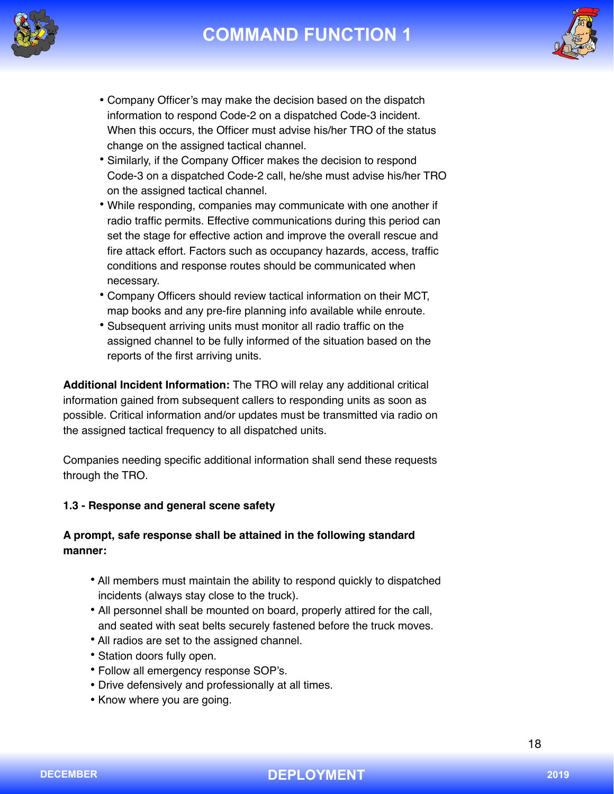



- Company Officer's may make the decision based on the dispatch information to respond Code-2 on a dispatched Code-3 incident. When this occurs, the Officer must advise his/her TRO of the status change on the assigned tactical channel.
- Similarly, if the Company Officer makes the decision to respond Code-3 on a dispatched Code-2 call, he/she must advise his/her TRO on the assigned tactical channel.
- While responding, companies may communicate with one another if radio traffic permits. Effective communications during this period can set the stage for effective action and improve the overall rescue and fire attack effort. Factors such as occupancy hazards, access, traffic conditions and response routes should be communicated when necessary.
- Company Officers should review tactical information on their MCT, map books and any pre-fire planning info available while enroute.
- Subsequent arriving units must monitor all radio traffic on the assigned channel to be fully informed of the situation based on the reports of the first arriving units.

**Additional Incident Information:** The TRO will relay any additional critical information gained from subsequent callers to responding units as soon as possible. Critical information and/or updates must be transmitted via radio on the assigned tactical frequency to all dispatched units.

Companies needing specific additional information shall send these requests through the TRO.

## **1.3 - Response and general scene safety**

## **A prompt, safe response shall be attained in the following standard manner:**

- All members must maintain the ability to respond quickly to dispatched incidents (always stay close to the truck).
- All personnel shall be mounted on board, properly attired for the call, and seated with seat belts securely fastened before the truck moves.
- All radios are set to the assigned channel.
- Station doors fully open.
- Follow all emergency response SOP's.
- Drive defensively and professionally at all times.
- Know where you are going.

18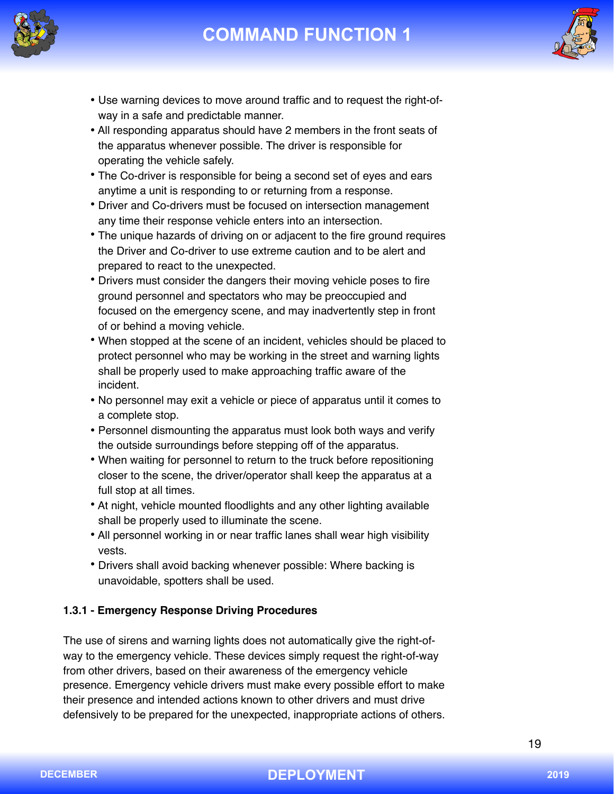



- Use warning devices to move around traffic and to request the right-ofway in a safe and predictable manner.
- All responding apparatus should have 2 members in the front seats of the apparatus whenever possible. The driver is responsible for operating the vehicle safely.
- The Co-driver is responsible for being a second set of eyes and ears anytime a unit is responding to or returning from a response.
- Driver and Co-drivers must be focused on intersection management any time their response vehicle enters into an intersection.
- The unique hazards of driving on or adjacent to the fire ground requires the Driver and Co-driver to use extreme caution and to be alert and prepared to react to the unexpected.
- Drivers must consider the dangers their moving vehicle poses to fire ground personnel and spectators who may be preoccupied and focused on the emergency scene, and may inadvertently step in front of or behind a moving vehicle.
- When stopped at the scene of an incident, vehicles should be placed to protect personnel who may be working in the street and warning lights shall be properly used to make approaching traffic aware of the incident.
- No personnel may exit a vehicle or piece of apparatus until it comes to a complete stop.
- Personnel dismounting the apparatus must look both ways and verify the outside surroundings before stepping off of the apparatus.
- When waiting for personnel to return to the truck before repositioning closer to the scene, the driver/operator shall keep the apparatus at a full stop at all times.
- At night, vehicle mounted floodlights and any other lighting available shall be properly used to illuminate the scene.
- All personnel working in or near traffic lanes shall wear high visibility vests.
- Drivers shall avoid backing whenever possible: Where backing is unavoidable, spotters shall be used.

## **1.3.1 - Emergency Response Driving Procedures**

The use of sirens and warning lights does not automatically give the right-ofway to the emergency vehicle. These devices simply request the right-of-way from other drivers, based on their awareness of the emergency vehicle presence. Emergency vehicle drivers must make every possible effort to make their presence and intended actions known to other drivers and must drive defensively to be prepared for the unexpected, inappropriate actions of others.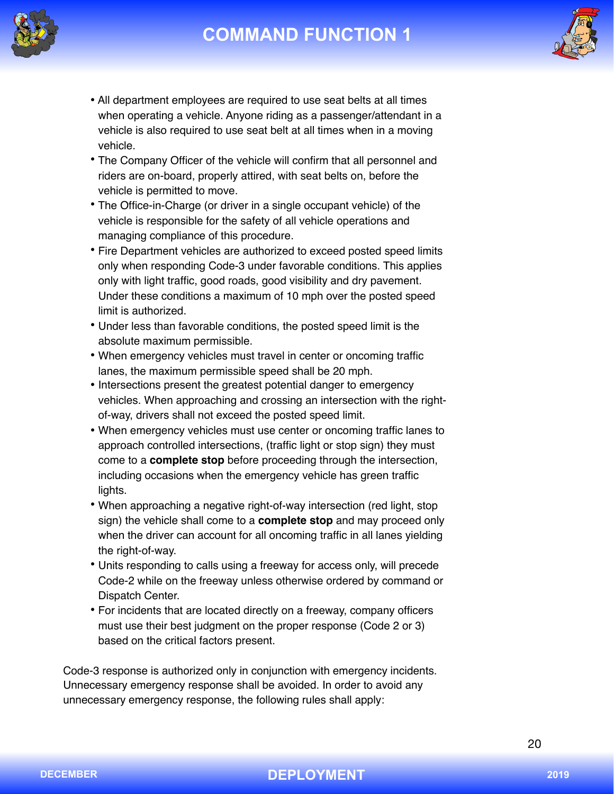



- All department employees are required to use seat belts at all times when operating a vehicle. Anyone riding as a passenger/attendant in a vehicle is also required to use seat belt at all times when in a moving vehicle.
- The Company Officer of the vehicle will confirm that all personnel and riders are on-board, properly attired, with seat belts on, before the vehicle is permitted to move.
- The Office-in-Charge (or driver in a single occupant vehicle) of the vehicle is responsible for the safety of all vehicle operations and managing compliance of this procedure.
- Fire Department vehicles are authorized to exceed posted speed limits only when responding Code-3 under favorable conditions. This applies only with light traffic, good roads, good visibility and dry pavement. Under these conditions a maximum of 10 mph over the posted speed limit is authorized.
- Under less than favorable conditions, the posted speed limit is the absolute maximum permissible.
- When emergency vehicles must travel in center or oncoming traffic lanes, the maximum permissible speed shall be 20 mph.
- Intersections present the greatest potential danger to emergency vehicles. When approaching and crossing an intersection with the rightof-way, drivers shall not exceed the posted speed limit.
- When emergency vehicles must use center or oncoming traffic lanes to approach controlled intersections, (traffic light or stop sign) they must come to a **complete stop** before proceeding through the intersection, including occasions when the emergency vehicle has green traffic lights.
- When approaching a negative right-of-way intersection (red light, stop sign) the vehicle shall come to a **complete stop** and may proceed only when the driver can account for all oncoming traffic in all lanes yielding the right-of-way.
- Units responding to calls using a freeway for access only, will precede Code-2 while on the freeway unless otherwise ordered by command or Dispatch Center.
- For incidents that are located directly on a freeway, company officers must use their best judgment on the proper response (Code 2 or 3) based on the critical factors present.

Code-3 response is authorized only in conjunction with emergency incidents. Unnecessary emergency response shall be avoided. In order to avoid any unnecessary emergency response, the following rules shall apply: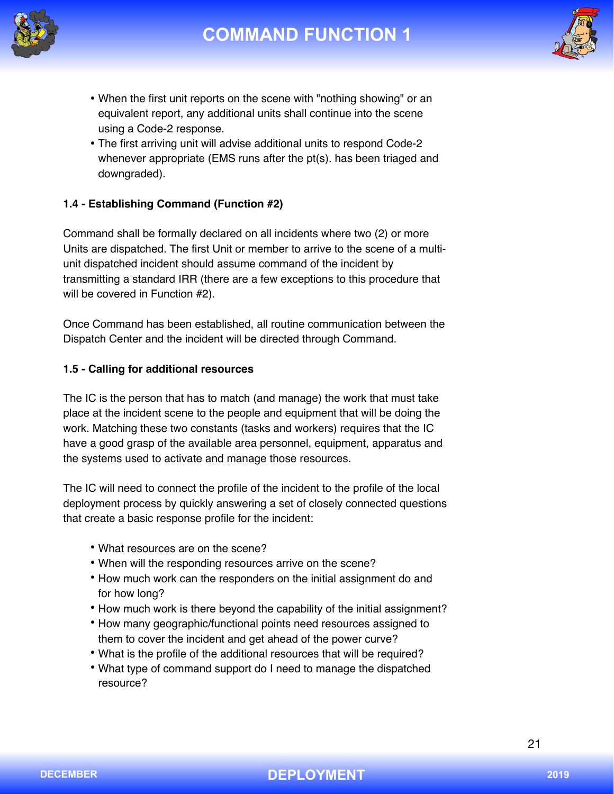



- When the first unit reports on the scene with "nothing showing" or an equivalent report, any additional units shall continue into the scene using a Code-2 response.
- The first arriving unit will advise additional units to respond Code-2 whenever appropriate (EMS runs after the pt(s). has been triaged and downgraded).

## **1.4 - Establishing Command (Function #2)**

Command shall be formally declared on all incidents where two (2) or more Units are dispatched. The first Unit or member to arrive to the scene of a multiunit dispatched incident should assume command of the incident by transmitting a standard IRR (there are a few exceptions to this procedure that will be covered in Function #2).

Once Command has been established, all routine communication between the Dispatch Center and the incident will be directed through Command.

### **1.5 - Calling for additional resources**

The IC is the person that has to match (and manage) the work that must take place at the incident scene to the people and equipment that will be doing the work. Matching these two constants (tasks and workers) requires that the IC have a good grasp of the available area personnel, equipment, apparatus and the systems used to activate and manage those resources.

The IC will need to connect the profile of the incident to the profile of the local deployment process by quickly answering a set of closely connected questions that create a basic response profile for the incident:

- What resources are on the scene?
- When will the responding resources arrive on the scene?
- How much work can the responders on the initial assignment do and for how long?
- How much work is there beyond the capability of the initial assignment?
- How many geographic/functional points need resources assigned to them to cover the incident and get ahead of the power curve?
- What is the profile of the additional resources that will be required?
- What type of command support do I need to manage the dispatched resource?

21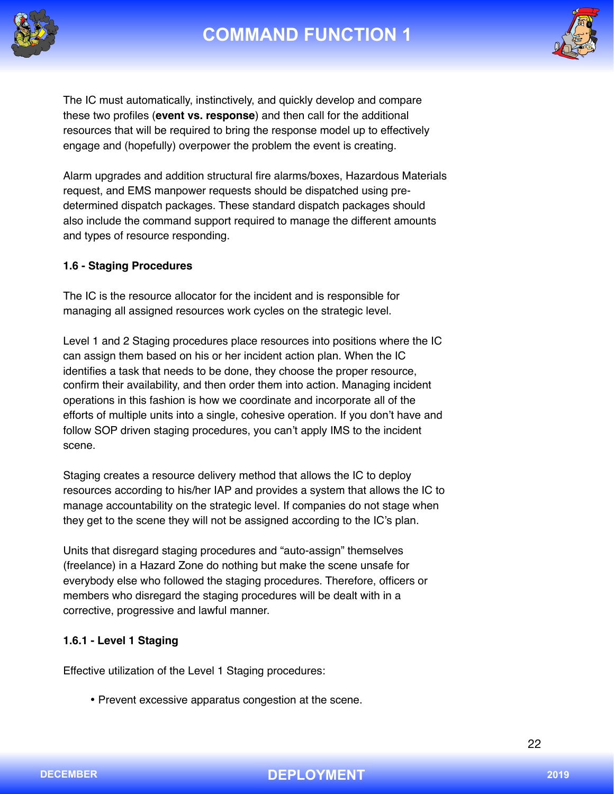



The IC must automatically, instinctively, and quickly develop and compare these two profiles (**event vs. response**) and then call for the additional resources that will be required to bring the response model up to effectively engage and (hopefully) overpower the problem the event is creating.

Alarm upgrades and addition structural fire alarms/boxes, Hazardous Materials request, and EMS manpower requests should be dispatched using predetermined dispatch packages. These standard dispatch packages should also include the command support required to manage the different amounts and types of resource responding.

### **1.6 - Staging Procedures**

The IC is the resource allocator for the incident and is responsible for managing all assigned resources work cycles on the strategic level.

Level 1 and 2 Staging procedures place resources into positions where the IC can assign them based on his or her incident action plan. When the IC identifies a task that needs to be done, they choose the proper resource, confirm their availability, and then order them into action. Managing incident operations in this fashion is how we coordinate and incorporate all of the efforts of multiple units into a single, cohesive operation. If you don't have and follow SOP driven staging procedures, you can't apply IMS to the incident scene.

Staging creates a resource delivery method that allows the IC to deploy resources according to his/her IAP and provides a system that allows the IC to manage accountability on the strategic level. If companies do not stage when they get to the scene they will not be assigned according to the IC's plan.

Units that disregard staging procedures and "auto-assign" themselves (freelance) in a Hazard Zone do nothing but make the scene unsafe for everybody else who followed the staging procedures. Therefore, officers or members who disregard the staging procedures will be dealt with in a corrective, progressive and lawful manner.

## **1.6.1 - Level 1 Staging**

Effective utilization of the Level 1 Staging procedures:

• Prevent excessive apparatus congestion at the scene.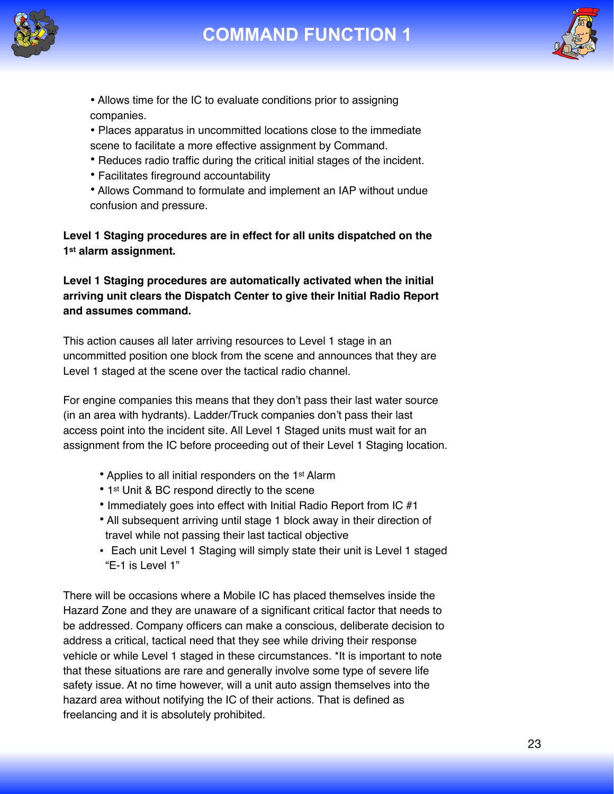





• Allows time for the IC to evaluate conditions prior to assigning companies.

• Places apparatus in uncommitted locations close to the immediate scene to facilitate a more effective assignment by Command.

- Reduces radio traffic during the critical initial stages of the incident.
- Facilitates fireground accountability

• Allows Command to formulate and implement an IAP without undue confusion and pressure.

**Level 1 Staging procedures are in effect for all units dispatched on the 1st alarm assignment.** 

**Level 1 Staging procedures are automatically activated when the initial arriving unit clears the Dispatch Center to give their Initial Radio Report and assumes command.** 

This action causes all later arriving resources to Level 1 stage in an uncommitted position one block from the scene and announces that they are Level 1 staged at the scene over the tactical radio channel.

For engine companies this means that they don't pass their last water source (in an area with hydrants). Ladder/Truck companies don't pass their last access point into the incident site. All Level 1 Staged units must wait for an assignment from the IC before proceeding out of their Level 1 Staging location.

- Applies to all initial responders on the 1<sup>st</sup> Alarm
- 1st Unit & BC respond directly to the scene
- Immediately goes into effect with Initial Radio Report from IC #1
- All subsequent arriving until stage 1 block away in their direction of travel while not passing their last tactical objective
- Each unit Level 1 Staging will simply state their unit is Level 1 staged "E-1 is Level 1"

There will be occasions where a Mobile IC has placed themselves inside the Hazard Zone and they are unaware of a significant critical factor that needs to be addressed. Company officers can make a conscious, deliberate decision to address a critical, tactical need that they see while driving their response vehicle or while Level 1 staged in these circumstances. \*It is important to note that these situations are rare and generally involve some type of severe life safety issue. At no time however, will a unit auto assign themselves into the hazard area without notifying the IC of their actions. That is defined as freelancing and it is absolutely prohibited.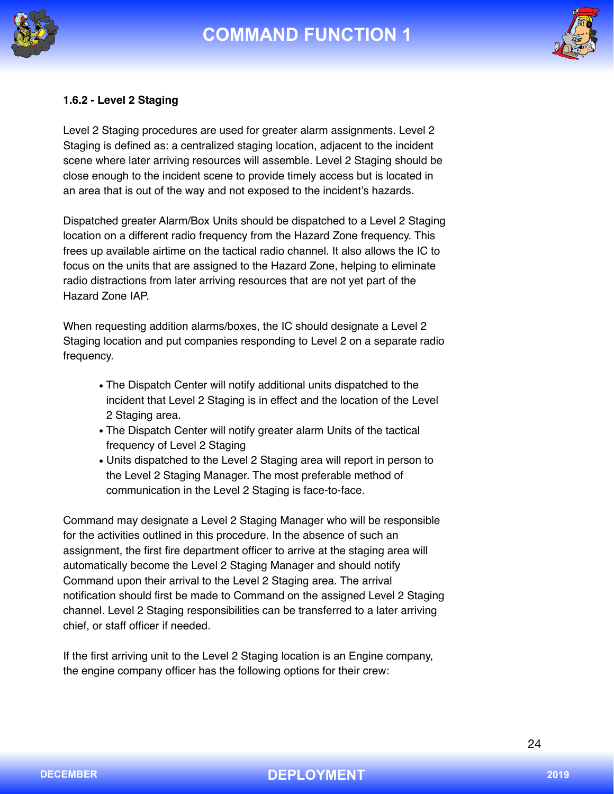



### **1.6.2 - Level 2 Staging**

Level 2 Staging procedures are used for greater alarm assignments. Level 2 Staging is defined as: a centralized staging location, adjacent to the incident scene where later arriving resources will assemble. Level 2 Staging should be close enough to the incident scene to provide timely access but is located in an area that is out of the way and not exposed to the incident's hazards.

Dispatched greater Alarm/Box Units should be dispatched to a Level 2 Staging location on a different radio frequency from the Hazard Zone frequency. This frees up available airtime on the tactical radio channel. It also allows the IC to focus on the units that are assigned to the Hazard Zone, helping to eliminate radio distractions from later arriving resources that are not yet part of the Hazard Zone IAP.

When requesting addition alarms/boxes, the IC should designate a Level 2 Staging location and put companies responding to Level 2 on a separate radio frequency.

- The Dispatch Center will notify additional units dispatched to the incident that Level 2 Staging is in effect and the location of the Level 2 Staging area.
- The Dispatch Center will notify greater alarm Units of the tactical frequency of Level 2 Staging
- Units dispatched to the Level 2 Staging area will report in person to the Level 2 Staging Manager. The most preferable method of communication in the Level 2 Staging is face-to-face.

Command may designate a Level 2 Staging Manager who will be responsible for the activities outlined in this procedure. In the absence of such an assignment, the first fire department officer to arrive at the staging area will automatically become the Level 2 Staging Manager and should notify Command upon their arrival to the Level 2 Staging area. The arrival notification should first be made to Command on the assigned Level 2 Staging channel. Level 2 Staging responsibilities can be transferred to a later arriving chief, or staff officer if needed.

If the first arriving unit to the Level 2 Staging location is an Engine company, the engine company officer has the following options for their crew: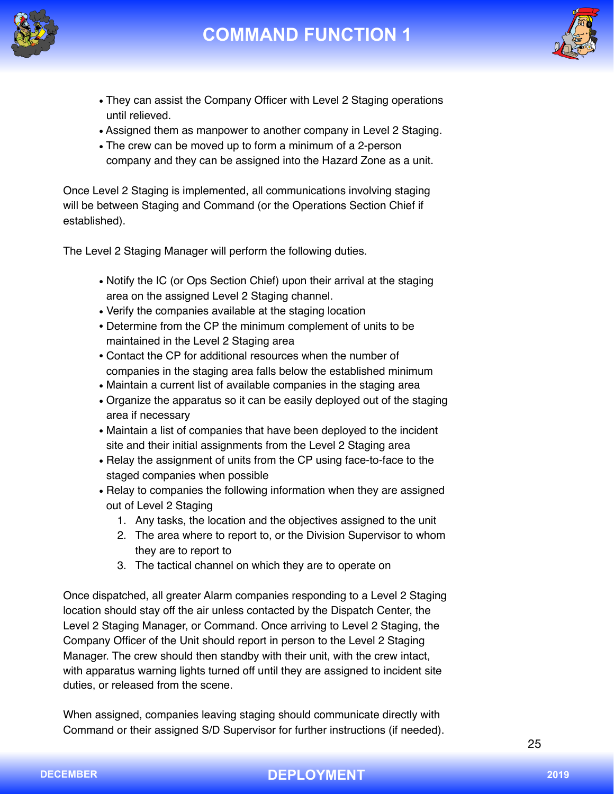



- They can assist the Company Officer with Level 2 Staging operations until relieved.
- Assigned them as manpower to another company in Level 2 Staging.
- The crew can be moved up to form a minimum of a 2-person company and they can be assigned into the Hazard Zone as a unit.

Once Level 2 Staging is implemented, all communications involving staging will be between Staging and Command (or the Operations Section Chief if established).

The Level 2 Staging Manager will perform the following duties.

- Notify the IC (or Ops Section Chief) upon their arrival at the staging area on the assigned Level 2 Staging channel.
- Verify the companies available at the staging location
- Determine from the CP the minimum complement of units to be maintained in the Level 2 Staging area
- Contact the CP for additional resources when the number of companies in the staging area falls below the established minimum
- Maintain a current list of available companies in the staging area
- Organize the apparatus so it can be easily deployed out of the staging area if necessary
- Maintain a list of companies that have been deployed to the incident site and their initial assignments from the Level 2 Staging area
- Relay the assignment of units from the CP using face-to-face to the staged companies when possible
- Relay to companies the following information when they are assigned out of Level 2 Staging
	- 1. Any tasks, the location and the objectives assigned to the unit
	- 2. The area where to report to, or the Division Supervisor to whom they are to report to
	- 3. The tactical channel on which they are to operate on

Once dispatched, all greater Alarm companies responding to a Level 2 Staging location should stay off the air unless contacted by the Dispatch Center, the Level 2 Staging Manager, or Command. Once arriving to Level 2 Staging, the Company Officer of the Unit should report in person to the Level 2 Staging Manager. The crew should then standby with their unit, with the crew intact, with apparatus warning lights turned off until they are assigned to incident site duties, or released from the scene.

When assigned, companies leaving staging should communicate directly with Command or their assigned S/D Supervisor for further instructions (if needed).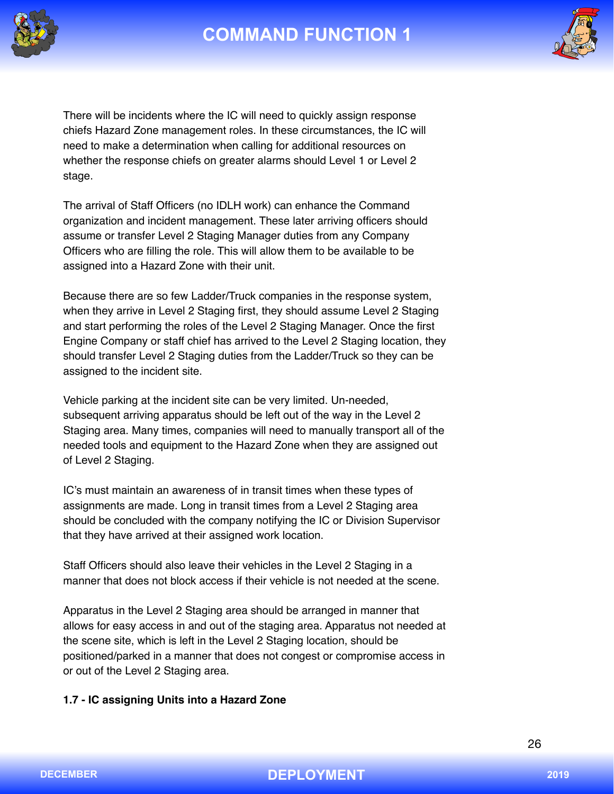





There will be incidents where the IC will need to quickly assign response chiefs Hazard Zone management roles. In these circumstances, the IC will need to make a determination when calling for additional resources on whether the response chiefs on greater alarms should Level 1 or Level 2 stage.

The arrival of Staff Officers (no IDLH work) can enhance the Command organization and incident management. These later arriving officers should assume or transfer Level 2 Staging Manager duties from any Company Officers who are filling the role. This will allow them to be available to be assigned into a Hazard Zone with their unit.

Because there are so few Ladder/Truck companies in the response system, when they arrive in Level 2 Staging first, they should assume Level 2 Staging and start performing the roles of the Level 2 Staging Manager. Once the first Engine Company or staff chief has arrived to the Level 2 Staging location, they should transfer Level 2 Staging duties from the Ladder/Truck so they can be assigned to the incident site.

Vehicle parking at the incident site can be very limited. Un-needed, subsequent arriving apparatus should be left out of the way in the Level 2 Staging area. Many times, companies will need to manually transport all of the needed tools and equipment to the Hazard Zone when they are assigned out of Level 2 Staging.

IC's must maintain an awareness of in transit times when these types of assignments are made. Long in transit times from a Level 2 Staging area should be concluded with the company notifying the IC or Division Supervisor that they have arrived at their assigned work location.

Staff Officers should also leave their vehicles in the Level 2 Staging in a manner that does not block access if their vehicle is not needed at the scene.

Apparatus in the Level 2 Staging area should be arranged in manner that allows for easy access in and out of the staging area. Apparatus not needed at the scene site, which is left in the Level 2 Staging location, should be positioned/parked in a manner that does not congest or compromise access in or out of the Level 2 Staging area.

### **1.7 - IC assigning Units into a Hazard Zone**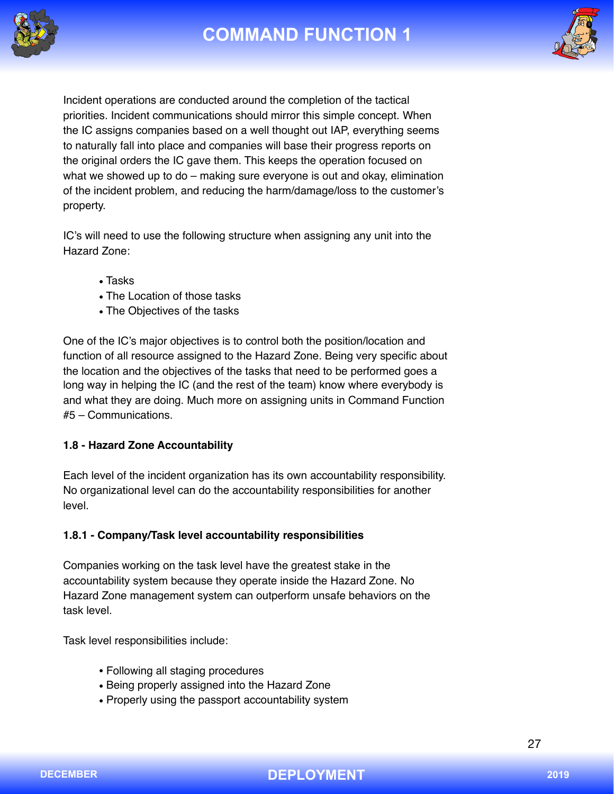



Incident operations are conducted around the completion of the tactical priorities. Incident communications should mirror this simple concept. When the IC assigns companies based on a well thought out IAP, everything seems to naturally fall into place and companies will base their progress reports on the original orders the IC gave them. This keeps the operation focused on what we showed up to do – making sure everyone is out and okay, elimination of the incident problem, and reducing the harm/damage/loss to the customer's property.

IC's will need to use the following structure when assigning any unit into the Hazard Zone:

- Tasks
- The Location of those tasks
- The Objectives of the tasks

One of the IC's major objectives is to control both the position/location and function of all resource assigned to the Hazard Zone. Being very specific about the location and the objectives of the tasks that need to be performed goes a long way in helping the IC (and the rest of the team) know where everybody is and what they are doing. Much more on assigning units in Command Function #5 – Communications.

### **1.8 - Hazard Zone Accountability**

Each level of the incident organization has its own accountability responsibility. No organizational level can do the accountability responsibilities for another level.

## **1.8.1 - Company/Task level accountability responsibilities**

Companies working on the task level have the greatest stake in the accountability system because they operate inside the Hazard Zone. No Hazard Zone management system can outperform unsafe behaviors on the task level.

Task level responsibilities include:

- Following all staging procedures
- Being properly assigned into the Hazard Zone
- Properly using the passport accountability system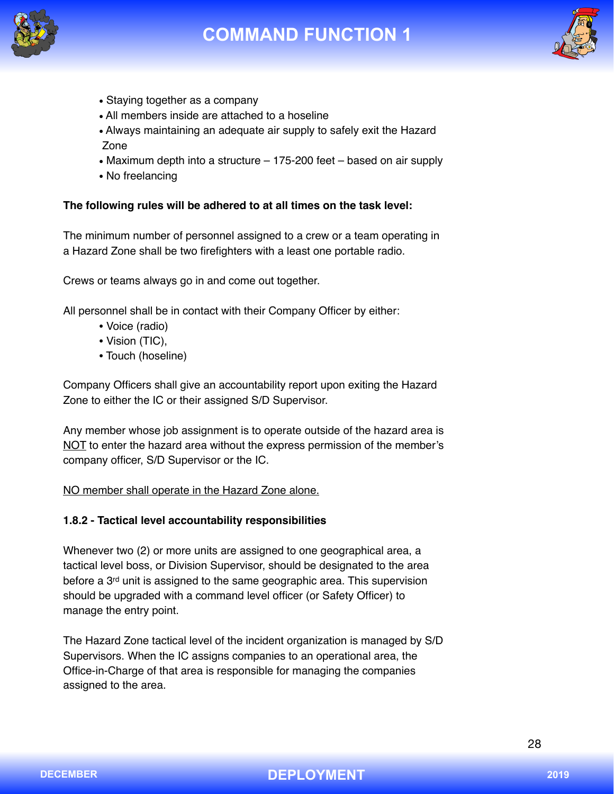





- Staying together as a company
- All members inside are attached to a hoseline
- Always maintaining an adequate air supply to safely exit the Hazard Zone
- Maximum depth into a structure 175-200 feet based on air supply
- No freelancing

#### **The following rules will be adhered to at all times on the task level:**

The minimum number of personnel assigned to a crew or a team operating in a Hazard Zone shall be two firefighters with a least one portable radio.

Crews or teams always go in and come out together.

All personnel shall be in contact with their Company Officer by either:

- Voice (radio)
- Vision (TIC),
- Touch (hoseline)

Company Officers shall give an accountability report upon exiting the Hazard Zone to either the IC or their assigned S/D Supervisor.

Any member whose job assignment is to operate outside of the hazard area is NOT to enter the hazard area without the express permission of the member's company officer, S/D Supervisor or the IC.

NO member shall operate in the Hazard Zone alone.

#### **1.8.2 - Tactical level accountability responsibilities**

Whenever two (2) or more units are assigned to one geographical area, a tactical level boss, or Division Supervisor, should be designated to the area before a 3<sup>rd</sup> unit is assigned to the same geographic area. This supervision should be upgraded with a command level officer (or Safety Officer) to manage the entry point.

The Hazard Zone tactical level of the incident organization is managed by S/D Supervisors. When the IC assigns companies to an operational area, the Office-in-Charge of that area is responsible for managing the companies assigned to the area.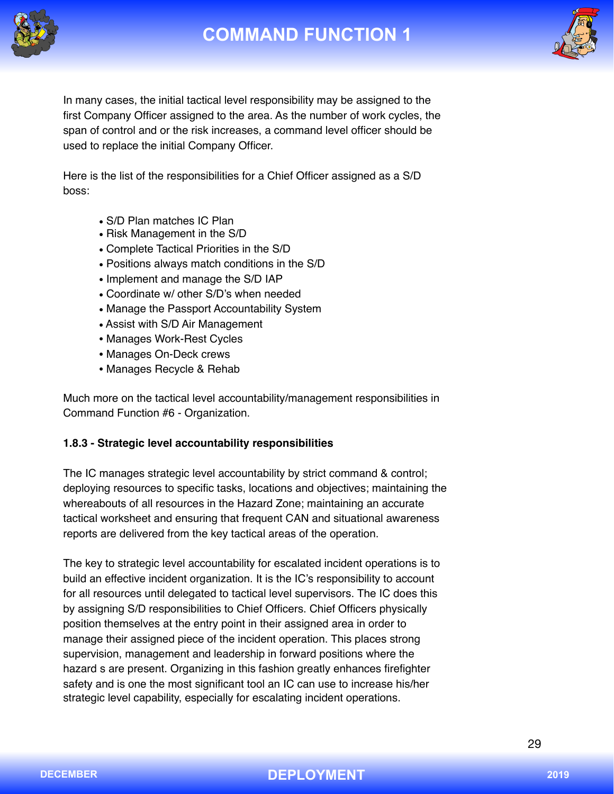



In many cases, the initial tactical level responsibility may be assigned to the first Company Officer assigned to the area. As the number of work cycles, the span of control and or the risk increases, a command level officer should be used to replace the initial Company Officer.

Here is the list of the responsibilities for a Chief Officer assigned as a S/D boss:

- S/D Plan matches IC Plan
- Risk Management in the S/D
- Complete Tactical Priorities in the S/D
- Positions always match conditions in the S/D
- Implement and manage the S/D IAP
- Coordinate w/ other S/D's when needed
- Manage the Passport Accountability System
- Assist with S/D Air Management
- Manages Work-Rest Cycles
- Manages On-Deck crews
- Manages Recycle & Rehab

Much more on the tactical level accountability/management responsibilities in Command Function #6 - Organization.

## **1.8.3 - Strategic level accountability responsibilities**

The IC manages strategic level accountability by strict command & control; deploying resources to specific tasks, locations and objectives; maintaining the whereabouts of all resources in the Hazard Zone; maintaining an accurate tactical worksheet and ensuring that frequent CAN and situational awareness reports are delivered from the key tactical areas of the operation.

The key to strategic level accountability for escalated incident operations is to build an effective incident organization. It is the IC's responsibility to account for all resources until delegated to tactical level supervisors. The IC does this by assigning S/D responsibilities to Chief Officers. Chief Officers physically position themselves at the entry point in their assigned area in order to manage their assigned piece of the incident operation. This places strong supervision, management and leadership in forward positions where the hazard s are present. Organizing in this fashion greatly enhances firefighter safety and is one the most significant tool an IC can use to increase his/her strategic level capability, especially for escalating incident operations.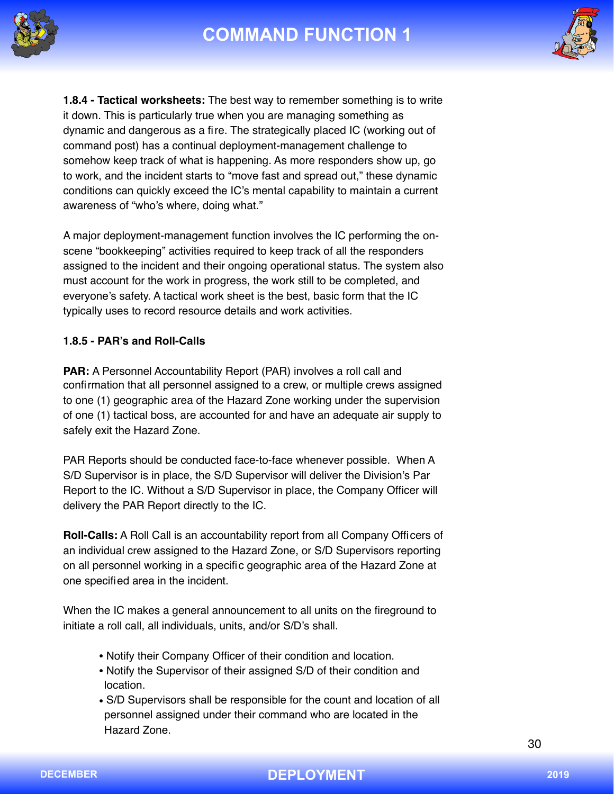



**1.8.4 - Tactical worksheets:** The best way to remember something is to write it down. This is particularly true when you are managing something as dynamic and dangerous as a fire. The strategically placed IC (working out of command post) has a continual deployment-management challenge to somehow keep track of what is happening. As more responders show up, go to work, and the incident starts to "move fast and spread out," these dynamic conditions can quickly exceed the IC's mental capability to maintain a current awareness of "who's where, doing what."

A major deployment-management function involves the IC performing the onscene "bookkeeping" activities required to keep track of all the responders assigned to the incident and their ongoing operational status. The system also must account for the work in progress, the work still to be completed, and everyone's safety. A tactical work sheet is the best, basic form that the IC typically uses to record resource details and work activities.

### **1.8.5 - PAR's and Roll-Calls**

**PAR:** A Personnel Accountability Report (PAR) involves a roll call and confirmation that all personnel assigned to a crew, or multiple crews assigned to one (1) geographic area of the Hazard Zone working under the supervision of one (1) tactical boss, are accounted for and have an adequate air supply to safely exit the Hazard Zone.

PAR Reports should be conducted face-to-face whenever possible. When A S/D Supervisor is in place, the S/D Supervisor will deliver the Division's Par Report to the IC. Without a S/D Supervisor in place, the Company Officer will delivery the PAR Report directly to the IC.

**Roll-Calls:** A Roll Call is an accountability report from all Company Officers of an individual crew assigned to the Hazard Zone, or S/D Supervisors reporting on all personnel working in a specific geographic area of the Hazard Zone at one specified area in the incident.

When the IC makes a general announcement to all units on the fireground to initiate a roll call, all individuals, units, and/or S/D's shall.

- Notify their Company Officer of their condition and location.
- Notify the Supervisor of their assigned S/D of their condition and location.
- S/D Supervisors shall be responsible for the count and location of all personnel assigned under their command who are located in the Hazard Zone.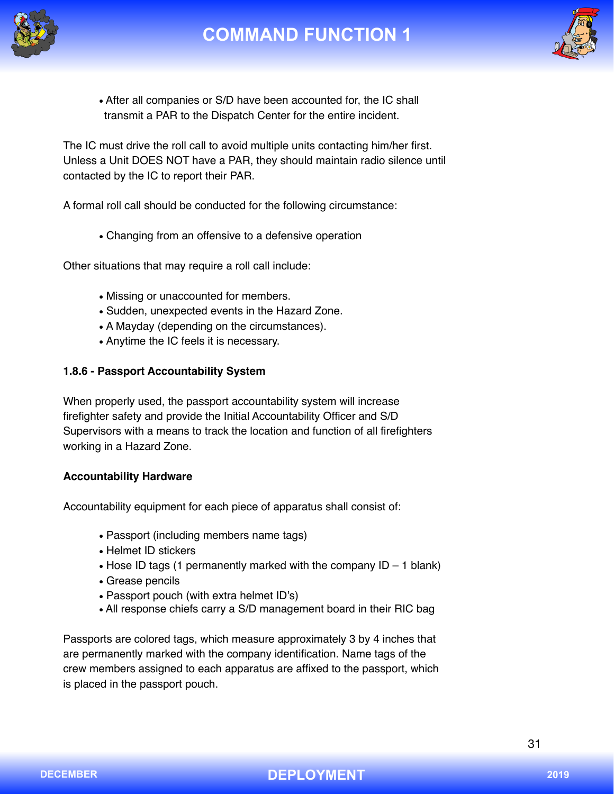



• After all companies or S/D have been accounted for, the IC shall transmit a PAR to the Dispatch Center for the entire incident.

The IC must drive the roll call to avoid multiple units contacting him/her first. Unless a Unit DOES NOT have a PAR, they should maintain radio silence until contacted by the IC to report their PAR.

A formal roll call should be conducted for the following circumstance:

• Changing from an offensive to a defensive operation

Other situations that may require a roll call include:

- Missing or unaccounted for members.
- Sudden, unexpected events in the Hazard Zone.
- A Mayday (depending on the circumstances).
- Anytime the IC feels it is necessary.

### **1.8.6 - Passport Accountability System**

When properly used, the passport accountability system will increase firefighter safety and provide the Initial Accountability Officer and S/D Supervisors with a means to track the location and function of all firefighters working in a Hazard Zone.

### **Accountability Hardware**

Accountability equipment for each piece of apparatus shall consist of:

- Passport (including members name tags)
- Helmet ID stickers
- Hose ID tags (1 permanently marked with the company  $ID 1$  blank)
- Grease pencils
- Passport pouch (with extra helmet ID's)
- All response chiefs carry a S/D management board in their RIC bag

Passports are colored tags, which measure approximately 3 by 4 inches that are permanently marked with the company identification. Name tags of the crew members assigned to each apparatus are affixed to the passport, which is placed in the passport pouch.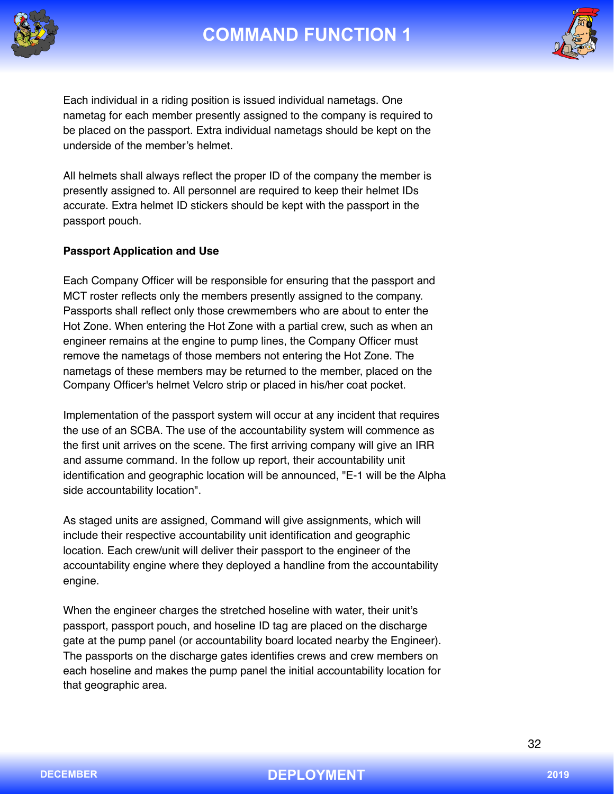



Each individual in a riding position is issued individual nametags. One nametag for each member presently assigned to the company is required to be placed on the passport. Extra individual nametags should be kept on the underside of the member's helmet.

All helmets shall always reflect the proper ID of the company the member is presently assigned to. All personnel are required to keep their helmet IDs accurate. Extra helmet ID stickers should be kept with the passport in the passport pouch.

### **Passport Application and Use**

Each Company Officer will be responsible for ensuring that the passport and MCT roster reflects only the members presently assigned to the company. Passports shall reflect only those crewmembers who are about to enter the Hot Zone. When entering the Hot Zone with a partial crew, such as when an engineer remains at the engine to pump lines, the Company Officer must remove the nametags of those members not entering the Hot Zone. The nametags of these members may be returned to the member, placed on the Company Officer's helmet Velcro strip or placed in his/her coat pocket.

Implementation of the passport system will occur at any incident that requires the use of an SCBA. The use of the accountability system will commence as the first unit arrives on the scene. The first arriving company will give an IRR and assume command. In the follow up report, their accountability unit identification and geographic location will be announced, "E-1 will be the Alpha side accountability location".

As staged units are assigned, Command will give assignments, which will include their respective accountability unit identification and geographic location. Each crew/unit will deliver their passport to the engineer of the accountability engine where they deployed a handline from the accountability engine.

When the engineer charges the stretched hoseline with water, their unit's passport, passport pouch, and hoseline ID tag are placed on the discharge gate at the pump panel (or accountability board located nearby the Engineer). The passports on the discharge gates identifies crews and crew members on each hoseline and makes the pump panel the initial accountability location for that geographic area.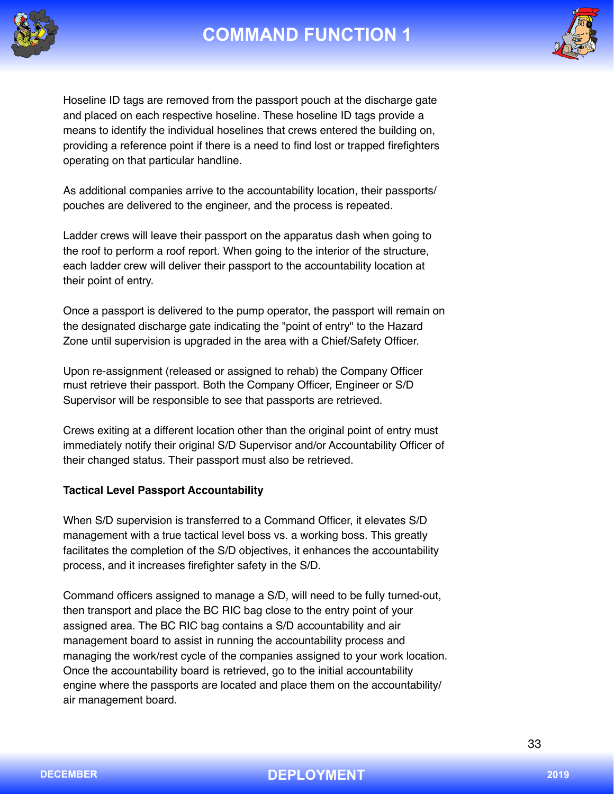



Hoseline ID tags are removed from the passport pouch at the discharge gate and placed on each respective hoseline. These hoseline ID tags provide a means to identify the individual hoselines that crews entered the building on, providing a reference point if there is a need to find lost or trapped firefighters operating on that particular handline.

As additional companies arrive to the accountability location, their passports/ pouches are delivered to the engineer, and the process is repeated.

Ladder crews will leave their passport on the apparatus dash when going to the roof to perform a roof report. When going to the interior of the structure, each ladder crew will deliver their passport to the accountability location at their point of entry.

Once a passport is delivered to the pump operator, the passport will remain on the designated discharge gate indicating the "point of entry" to the Hazard Zone until supervision is upgraded in the area with a Chief/Safety Officer.

Upon re-assignment (released or assigned to rehab) the Company Officer must retrieve their passport. Both the Company Officer, Engineer or S/D Supervisor will be responsible to see that passports are retrieved.

Crews exiting at a different location other than the original point of entry must immediately notify their original S/D Supervisor and/or Accountability Officer of their changed status. Their passport must also be retrieved.

### **Tactical Level Passport Accountability**

When S/D supervision is transferred to a Command Officer, it elevates S/D management with a true tactical level boss vs. a working boss. This greatly facilitates the completion of the S/D objectives, it enhances the accountability process, and it increases firefighter safety in the S/D.

Command officers assigned to manage a S/D, will need to be fully turned-out, then transport and place the BC RIC bag close to the entry point of your assigned area. The BC RIC bag contains a S/D accountability and air management board to assist in running the accountability process and managing the work/rest cycle of the companies assigned to your work location. Once the accountability board is retrieved, go to the initial accountability engine where the passports are located and place them on the accountability/ air management board.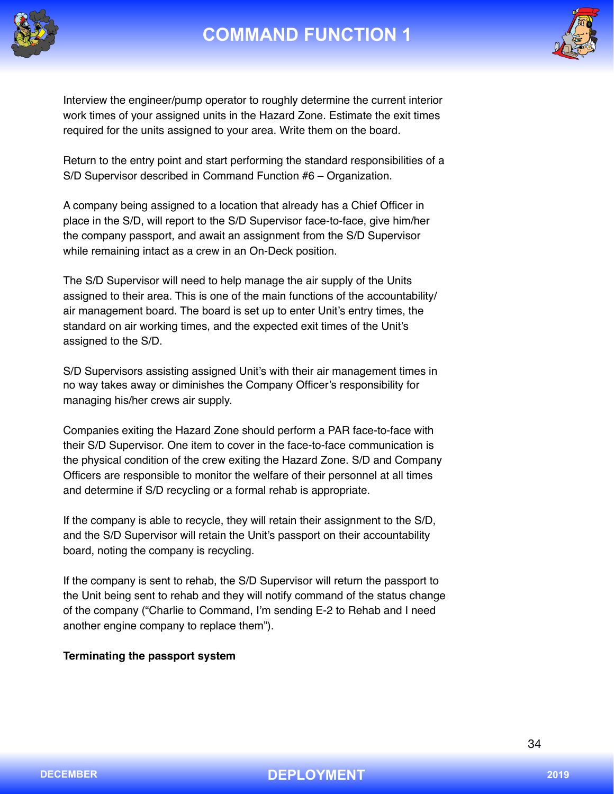



Interview the engineer/pump operator to roughly determine the current interior work times of your assigned units in the Hazard Zone. Estimate the exit times required for the units assigned to your area. Write them on the board.

Return to the entry point and start performing the standard responsibilities of a S/D Supervisor described in Command Function #6 – Organization.

A company being assigned to a location that already has a Chief Officer in place in the S/D, will report to the S/D Supervisor face-to-face, give him/her the company passport, and await an assignment from the S/D Supervisor while remaining intact as a crew in an On-Deck position.

The S/D Supervisor will need to help manage the air supply of the Units assigned to their area. This is one of the main functions of the accountability/ air management board. The board is set up to enter Unit's entry times, the standard on air working times, and the expected exit times of the Unit's assigned to the S/D.

S/D Supervisors assisting assigned Unit's with their air management times in no way takes away or diminishes the Company Officer's responsibility for managing his/her crews air supply.

Companies exiting the Hazard Zone should perform a PAR face-to-face with their S/D Supervisor. One item to cover in the face-to-face communication is the physical condition of the crew exiting the Hazard Zone. S/D and Company Officers are responsible to monitor the welfare of their personnel at all times and determine if S/D recycling or a formal rehab is appropriate.

If the company is able to recycle, they will retain their assignment to the S/D, and the S/D Supervisor will retain the Unit's passport on their accountability board, noting the company is recycling.

If the company is sent to rehab, the S/D Supervisor will return the passport to the Unit being sent to rehab and they will notify command of the status change of the company ("Charlie to Command, I'm sending E-2 to Rehab and I need another engine company to replace them").

### **Terminating the passport system**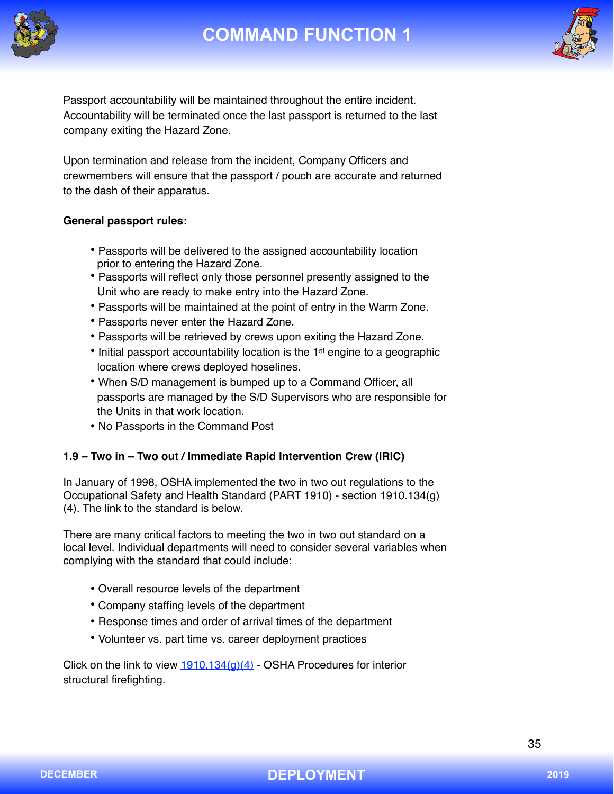



Passport accountability will be maintained throughout the entire incident. Accountability will be terminated once the last passport is returned to the last company exiting the Hazard Zone.

Upon termination and release from the incident, Company Officers and crewmembers will ensure that the passport / pouch are accurate and returned to the dash of their apparatus.

### **General passport rules:**

- Passports will be delivered to the assigned accountability location prior to entering the Hazard Zone.
- Passports will reflect only those personnel presently assigned to the Unit who are ready to make entry into the Hazard Zone.
- Passports will be maintained at the point of entry in the Warm Zone.
- Passports never enter the Hazard Zone.
- Passports will be retrieved by crews upon exiting the Hazard Zone.
- Initial passport accountability location is the 1<sup>st</sup> engine to a geographic location where crews deployed hoselines.
- When S/D management is bumped up to a Command Officer, all passports are managed by the S/D Supervisors who are responsible for the Units in that work location.
- No Passports in the Command Post

### **1.9 – Two in – Two out / Immediate Rapid Intervention Crew (IRIC)**

In January of 1998, OSHA implemented the two in two out regulations to the Occupational Safety and Health Standard (PART 1910) - section 1910.134(g) (4). The link to the standard is below.

There are many critical factors to meeting the two in two out standard on a local level. Individual departments will need to consider several variables when complying with the standard that could include:

- Overall resource levels of the department
- Company staffing levels of the department
- Response times and order of arrival times of the department
- Volunteer vs. part time vs. career deployment practices

Click on the link to view  $1910.134(q)(4)$  - OSHA Procedures for interior structural firefighting.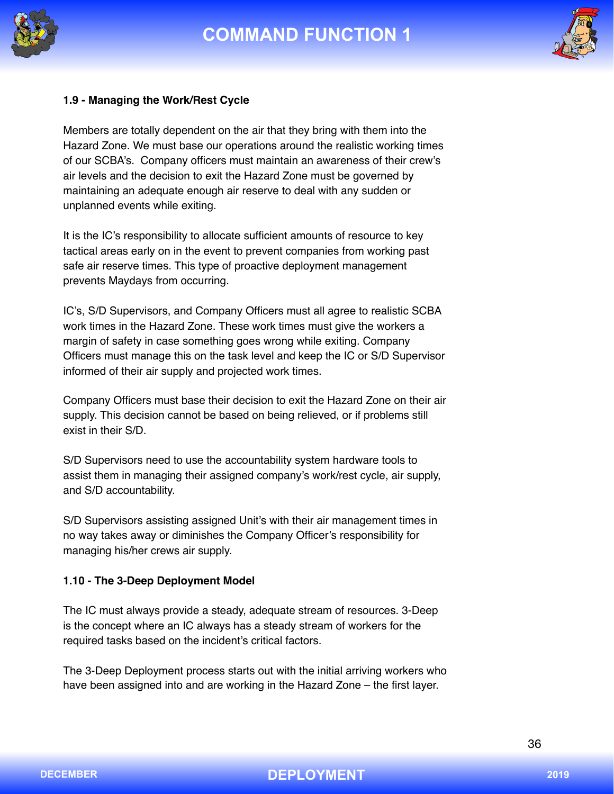



#### **1.9 - Managing the Work/Rest Cycle**

Members are totally dependent on the air that they bring with them into the Hazard Zone. We must base our operations around the realistic working times of our SCBA's. Company officers must maintain an awareness of their crew's air levels and the decision to exit the Hazard Zone must be governed by maintaining an adequate enough air reserve to deal with any sudden or unplanned events while exiting.

It is the IC's responsibility to allocate sufficient amounts of resource to key tactical areas early on in the event to prevent companies from working past safe air reserve times. This type of proactive deployment management prevents Maydays from occurring.

IC's, S/D Supervisors, and Company Officers must all agree to realistic SCBA work times in the Hazard Zone. These work times must give the workers a margin of safety in case something goes wrong while exiting. Company Officers must manage this on the task level and keep the IC or S/D Supervisor informed of their air supply and projected work times.

Company Officers must base their decision to exit the Hazard Zone on their air supply. This decision cannot be based on being relieved, or if problems still exist in their S/D.

S/D Supervisors need to use the accountability system hardware tools to assist them in managing their assigned company's work/rest cycle, air supply, and S/D accountability.

S/D Supervisors assisting assigned Unit's with their air management times in no way takes away or diminishes the Company Officer's responsibility for managing his/her crews air supply.

#### **1.10 - The 3-Deep Deployment Model**

The IC must always provide a steady, adequate stream of resources. 3-Deep is the concept where an IC always has a steady stream of workers for the required tasks based on the incident's critical factors.

The 3-Deep Deployment process starts out with the initial arriving workers who have been assigned into and are working in the Hazard Zone – the first layer.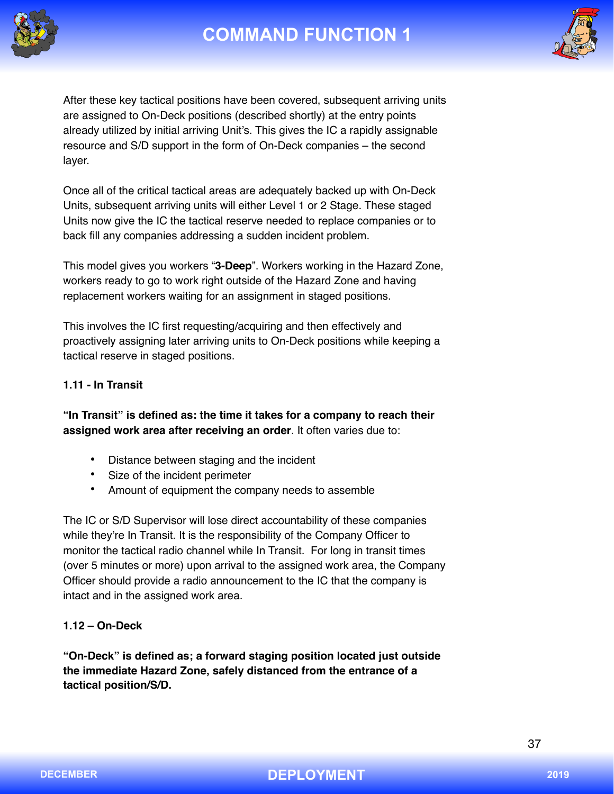



After these key tactical positions have been covered, subsequent arriving units are assigned to On-Deck positions (described shortly) at the entry points already utilized by initial arriving Unit's. This gives the IC a rapidly assignable resource and S/D support in the form of On-Deck companies – the second layer.

Once all of the critical tactical areas are adequately backed up with On-Deck Units, subsequent arriving units will either Level 1 or 2 Stage. These staged Units now give the IC the tactical reserve needed to replace companies or to back fill any companies addressing a sudden incident problem.

This model gives you workers "**3-Deep**". Workers working in the Hazard Zone, workers ready to go to work right outside of the Hazard Zone and having replacement workers waiting for an assignment in staged positions.

This involves the IC first requesting/acquiring and then effectively and proactively assigning later arriving units to On-Deck positions while keeping a tactical reserve in staged positions.

### **1.11 - In Transit**

**"In Transit" is defined as: the time it takes for a company to reach their assigned work area after receiving an order**. It often varies due to:

- Distance between staging and the incident
- Size of the incident perimeter
- Amount of equipment the company needs to assemble

The IC or S/D Supervisor will lose direct accountability of these companies while they're In Transit. It is the responsibility of the Company Officer to monitor the tactical radio channel while In Transit. For long in transit times (over 5 minutes or more) upon arrival to the assigned work area, the Company Officer should provide a radio announcement to the IC that the company is intact and in the assigned work area.

### **1.12 – On-Deck**

**"On-Deck" is defined as; a forward staging position located just outside the immediate Hazard Zone, safely distanced from the entrance of a tactical position/S/D.**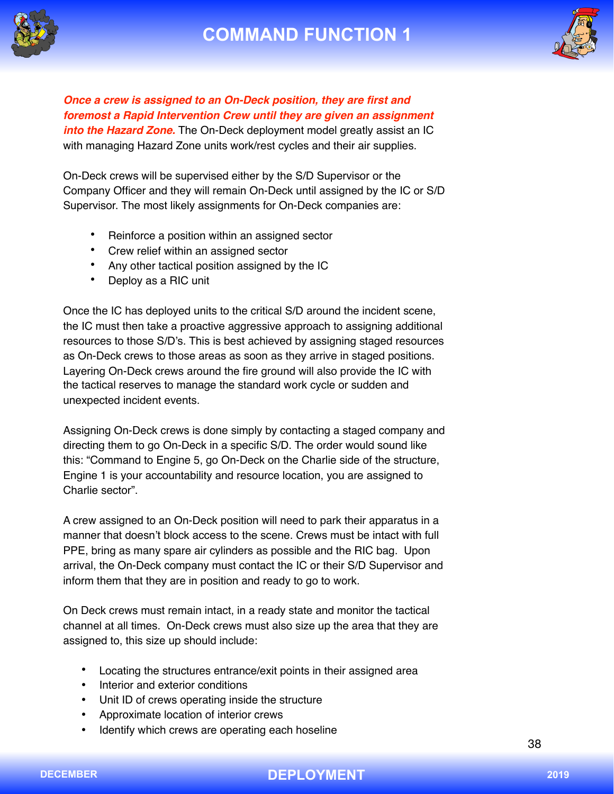



*Once a crew is assigned to an On-Deck position, they are first and foremost a Rapid Intervention Crew until they are given an assignment into the Hazard Zone.* The On-Deck deployment model greatly assist an IC with managing Hazard Zone units work/rest cycles and their air supplies.

On-Deck crews will be supervised either by the S/D Supervisor or the Company Officer and they will remain On-Deck until assigned by the IC or S/D Supervisor. The most likely assignments for On-Deck companies are:

- Reinforce a position within an assigned sector
- Crew relief within an assigned sector
- Any other tactical position assigned by the IC
- Deploy as a RIC unit

Once the IC has deployed units to the critical S/D around the incident scene, the IC must then take a proactive aggressive approach to assigning additional resources to those S/D's. This is best achieved by assigning staged resources as On-Deck crews to those areas as soon as they arrive in staged positions. Layering On-Deck crews around the fire ground will also provide the IC with the tactical reserves to manage the standard work cycle or sudden and unexpected incident events.

Assigning On-Deck crews is done simply by contacting a staged company and directing them to go On-Deck in a specific S/D. The order would sound like this: "Command to Engine 5, go On-Deck on the Charlie side of the structure, Engine 1 is your accountability and resource location, you are assigned to Charlie sector".

A crew assigned to an On-Deck position will need to park their apparatus in a manner that doesn't block access to the scene. Crews must be intact with full PPE, bring as many spare air cylinders as possible and the RIC bag. Upon arrival, the On-Deck company must contact the IC or their S/D Supervisor and inform them that they are in position and ready to go to work.

On Deck crews must remain intact, in a ready state and monitor the tactical channel at all times. On-Deck crews must also size up the area that they are assigned to, this size up should include:

- Locating the structures entrance/exit points in their assigned area
- Interior and exterior conditions
- Unit ID of crews operating inside the structure
- Approximate location of interior crews
- Identify which crews are operating each hoseline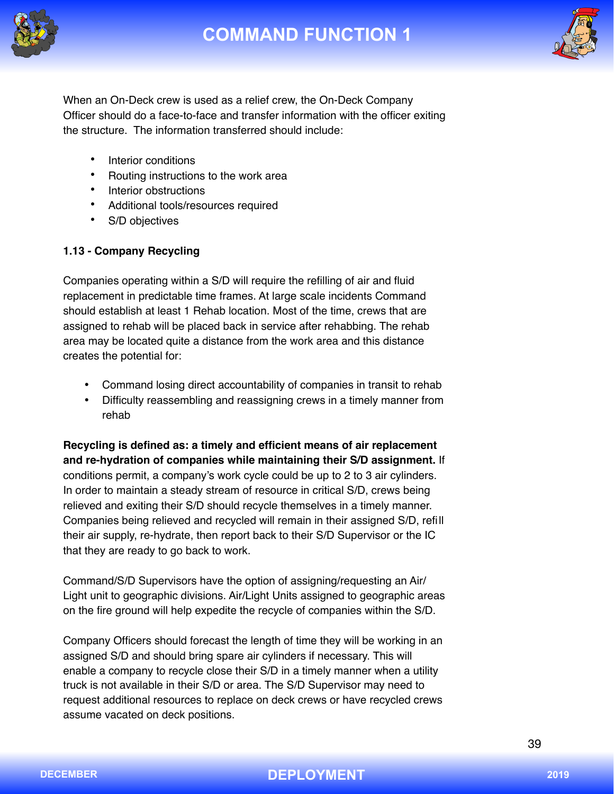



When an On-Deck crew is used as a relief crew, the On-Deck Company Officer should do a face-to-face and transfer information with the officer exiting the structure. The information transferred should include:

- Interior conditions
- Routing instructions to the work area
- Interior obstructions
- Additional tools/resources required
- S/D objectives

## **1.13 - Company Recycling**

Companies operating within a S/D will require the refilling of air and fluid replacement in predictable time frames. At large scale incidents Command should establish at least 1 Rehab location. Most of the time, crews that are assigned to rehab will be placed back in service after rehabbing. The rehab area may be located quite a distance from the work area and this distance creates the potential for:

- Command losing direct accountability of companies in transit to rehab
- Difficulty reassembling and reassigning crews in a timely manner from rehab

**Recycling is defined as: a timely and efficient means of air replacement and re-hydration of companies while maintaining their S/D assignment.** If conditions permit, a company's work cycle could be up to 2 to 3 air cylinders. In order to maintain a steady stream of resource in critical S/D, crews being relieved and exiting their S/D should recycle themselves in a timely manner. Companies being relieved and recycled will remain in their assigned S/D, refill their air supply, re-hydrate, then report back to their S/D Supervisor or the IC that they are ready to go back to work.

Command/S/D Supervisors have the option of assigning/requesting an Air/ Light unit to geographic divisions. Air/Light Units assigned to geographic areas on the fire ground will help expedite the recycle of companies within the S/D.

Company Officers should forecast the length of time they will be working in an assigned S/D and should bring spare air cylinders if necessary. This will enable a company to recycle close their S/D in a timely manner when a utility truck is not available in their S/D or area. The S/D Supervisor may need to request additional resources to replace on deck crews or have recycled crews assume vacated on deck positions.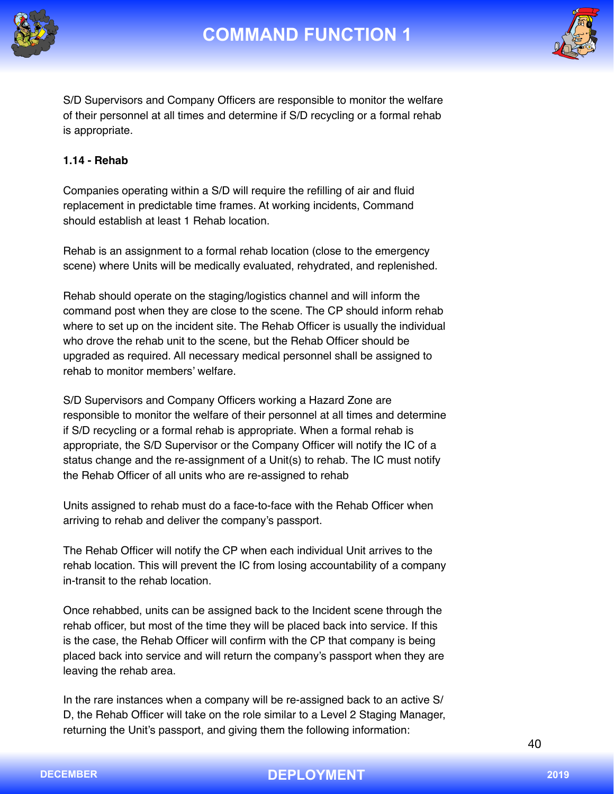



S/D Supervisors and Company Officers are responsible to monitor the welfare of their personnel at all times and determine if S/D recycling or a formal rehab is appropriate.

### **1.14 - Rehab**

Companies operating within a S/D will require the refilling of air and fluid replacement in predictable time frames. At working incidents, Command should establish at least 1 Rehab location.

Rehab is an assignment to a formal rehab location (close to the emergency scene) where Units will be medically evaluated, rehydrated, and replenished.

Rehab should operate on the staging/logistics channel and will inform the command post when they are close to the scene. The CP should inform rehab where to set up on the incident site. The Rehab Officer is usually the individual who drove the rehab unit to the scene, but the Rehab Officer should be upgraded as required. All necessary medical personnel shall be assigned to rehab to monitor members' welfare.

S/D Supervisors and Company Officers working a Hazard Zone are responsible to monitor the welfare of their personnel at all times and determine if S/D recycling or a formal rehab is appropriate. When a formal rehab is appropriate, the S/D Supervisor or the Company Officer will notify the IC of a status change and the re-assignment of a Unit(s) to rehab. The IC must notify the Rehab Officer of all units who are re-assigned to rehab

Units assigned to rehab must do a face-to-face with the Rehab Officer when arriving to rehab and deliver the company's passport.

The Rehab Officer will notify the CP when each individual Unit arrives to the rehab location. This will prevent the IC from losing accountability of a company in-transit to the rehab location.

Once rehabbed, units can be assigned back to the Incident scene through the rehab officer, but most of the time they will be placed back into service. If this is the case, the Rehab Officer will confirm with the CP that company is being placed back into service and will return the company's passport when they are leaving the rehab area.

In the rare instances when a company will be re-assigned back to an active S/ D, the Rehab Officer will take on the role similar to a Level 2 Staging Manager, returning the Unit's passport, and giving them the following information:

40